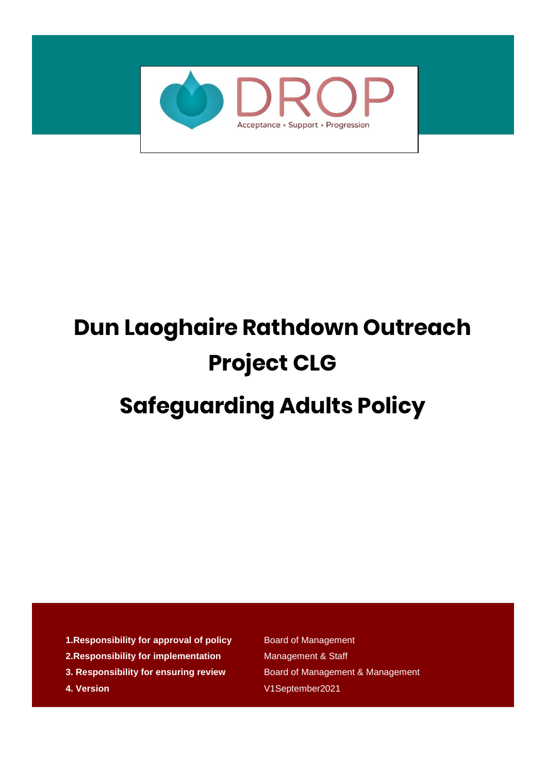

# **Dun Laoghaire Rathdown Outreach Project CLG Safeguarding Adults Policy**

- **1. Responsibility for approval of policy** Board of Management
- **2. Responsibility for implementation** Management & Staff
- **3. Responsibility for ensuring review** Board of Management & Management
- 

**4. Version** V1September2021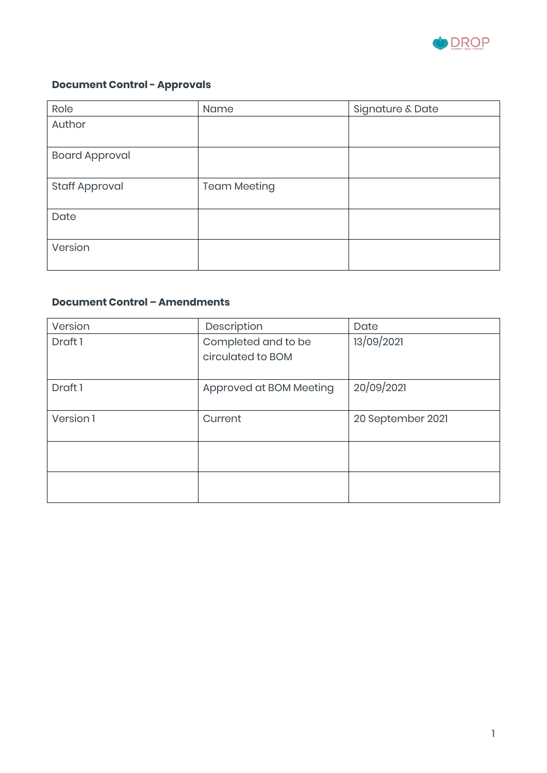

#### **Document Control - Approvals**

| Role                  | Name                | Signature & Date |
|-----------------------|---------------------|------------------|
| Author                |                     |                  |
|                       |                     |                  |
| <b>Board Approval</b> |                     |                  |
|                       |                     |                  |
| <b>Staff Approval</b> | <b>Team Meeting</b> |                  |
| Date                  |                     |                  |
| Version               |                     |                  |

#### **Document Control – Amendments**

| Version   | Description                              | Date              |
|-----------|------------------------------------------|-------------------|
| Draft 1   | Completed and to be<br>circulated to BOM | 13/09/2021        |
| Draft 1   | Approved at BOM Meeting                  | 20/09/2021        |
| Version 1 | Current                                  | 20 September 2021 |
|           |                                          |                   |
|           |                                          |                   |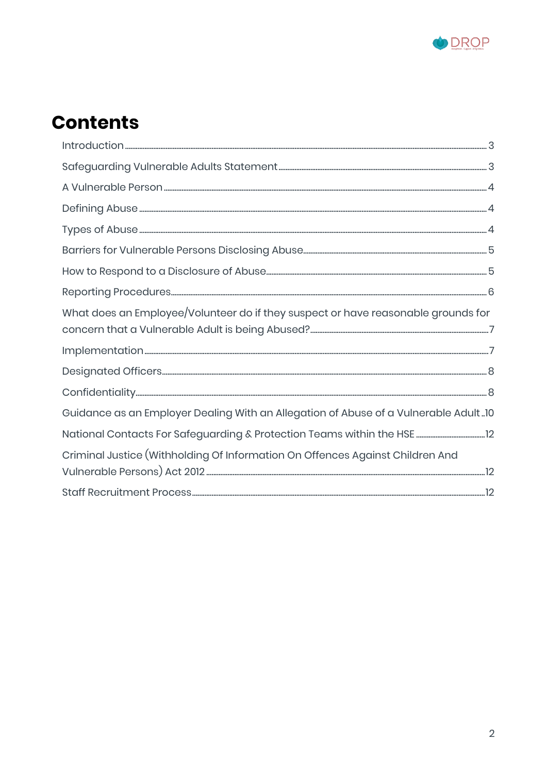

# **Contents**

| What does an Employee/Volunteer do if they suspect or have reasonable grounds for   |  |
|-------------------------------------------------------------------------------------|--|
|                                                                                     |  |
|                                                                                     |  |
|                                                                                     |  |
|                                                                                     |  |
| Guidance as an Employer Dealing With an Allegation of Abuse of a Vulnerable Adult10 |  |
|                                                                                     |  |
| Criminal Justice (Withholding Of Information On Offences Against Children And       |  |
|                                                                                     |  |
|                                                                                     |  |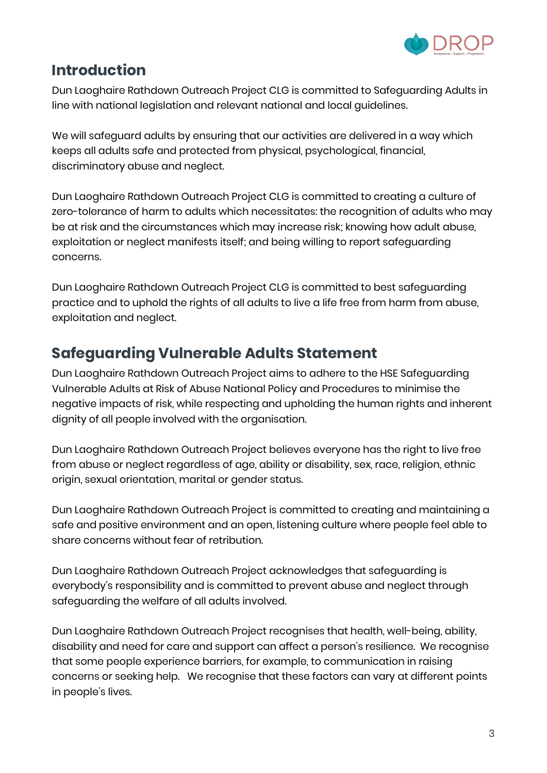

## <span id="page-3-0"></span>**Introduction**

Dun Laoghaire Rathdown Outreach Project CLG is committed to Safeguarding Adults in line with national legislation and relevant national and local guidelines.

We will safeguard adults by ensuring that our activities are delivered in a way which keeps all adults safe and protected from physical, psychological, financial, discriminatory abuse and neglect.

Dun Laoghaire Rathdown Outreach Project CLG is committed to creating a culture of zero-tolerance of harm to adults which necessitates: the recognition of adults who may be at risk and the circumstances which may increase risk; knowing how adult abuse, exploitation or neglect manifests itself; and being willing to report safeguarding concerns.

Dun Laoghaire Rathdown Outreach Project CLG is committed to best safeguarding practice and to uphold the rights of all adults to live a life free from harm from abuse, exploitation and neglect.

## <span id="page-3-1"></span>**Safeguarding Vulnerable Adults Statement**

Dun Laoghaire Rathdown Outreach Project aims to adhere to the HSE Safeguarding Vulnerable Adults at Risk of Abuse National Policy and Procedures to minimise the negative impacts of risk, while respecting and upholding the human rights and inherent dignity of all people involved with the organisation.

Dun Laoghaire Rathdown Outreach Project believes everyone has the right to live free from abuse or neglect regardless of age, ability or disability, sex, race, religion, ethnic origin, sexual orientation, marital or gender status.

Dun Laoghaire Rathdown Outreach Project is committed to creating and maintaining a safe and positive environment and an open, listening culture where people feel able to share concerns without fear of retribution.

Dun Laoghaire Rathdown Outreach Project acknowledges that safeguarding is everybody's responsibility and is committed to prevent abuse and neglect through safeguarding the welfare of all adults involved.

Dun Laoghaire Rathdown Outreach Project recognises that health, well-being, ability, disability and need for care and support can affect a person's resilience. We recognise that some people experience barriers, for example, to communication in raising concerns or seeking help. We recognise that these factors can vary at different points in people's lives.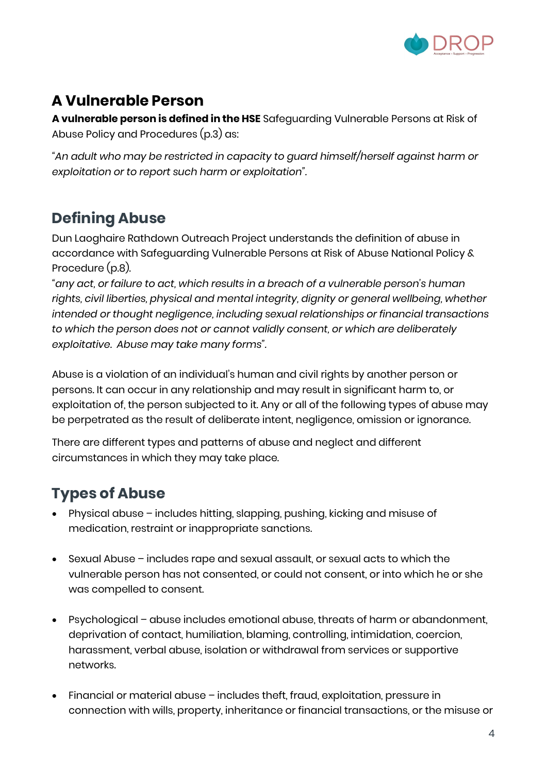

# <span id="page-4-0"></span>**A Vulnerable Person**

**A vulnerable person is defined in the HSE** Safeguarding Vulnerable Persons at Risk of Abuse Policy and Procedures (p.3) as:

*"An adult who may be restricted in capacity to guard himself/herself against harm or exploitation or to report such harm or exploitation".*

## <span id="page-4-1"></span>**Defining Abuse**

Dun Laoghaire Rathdown Outreach Project understands the definition of abuse in accordance with Safeguarding Vulnerable Persons at Risk of Abuse National Policy & Procedure (p.8).

*"any act, or failure to act, which results in a breach of a vulnerable person's human rights, civil liberties, physical and mental integrity, dignity or general wellbeing, whether intended or thought negligence, including sexual relationships or financial transactions to which the person does not or cannot validly consent, or which are deliberately exploitative. Abuse may take many forms".*

Abuse is a violation of an individual's human and civil rights by another person or persons. It can occur in any relationship and may result in significant harm to, or exploitation of, the person subjected to it. Any or all of the following types of abuse may be perpetrated as the result of deliberate intent, negligence, omission or ignorance.

There are different types and patterns of abuse and neglect and different circumstances in which they may take place.

# <span id="page-4-2"></span>**Types of Abuse**

- Physical abuse includes hitting, slapping, pushing, kicking and misuse of medication, restraint or inappropriate sanctions.
- Sexual Abuse includes rape and sexual assault, or sexual acts to which the vulnerable person has not consented, or could not consent, or into which he or she was compelled to consent.
- Psychological abuse includes emotional abuse, threats of harm or abandonment, deprivation of contact, humiliation, blaming, controlling, intimidation, coercion, harassment, verbal abuse, isolation or withdrawal from services or supportive networks.
- Financial or material abuse includes theft, fraud, exploitation, pressure in connection with wills, property, inheritance or financial transactions, or the misuse or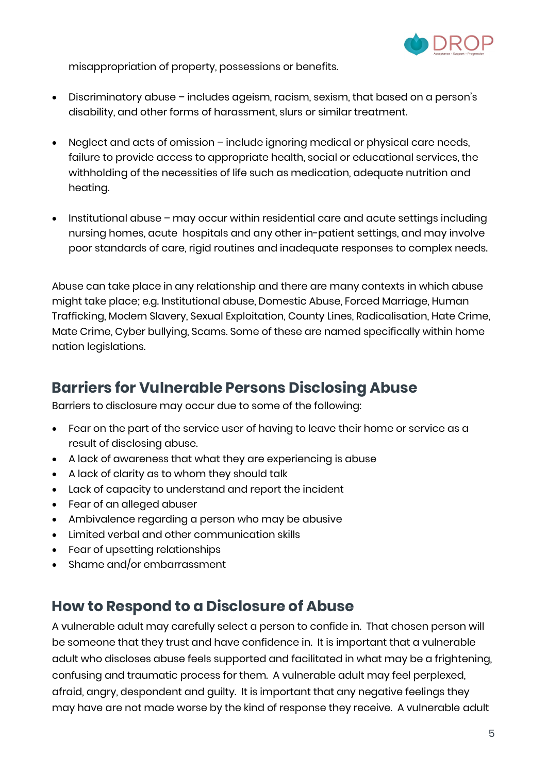

misappropriation of property, possessions or benefits.

- Discriminatory abuse includes ageism, racism, sexism, that based on a person's disability, and other forms of harassment, slurs or similar treatment.
- Neglect and acts of omission include ignoring medical or physical care needs, failure to provide access to appropriate health, social or educational services, the withholding of the necessities of life such as medication, adequate nutrition and heating.
- Institutional abuse may occur within residential care and acute settings including nursing homes, acute hospitals and any other in-patient settings, and may involve poor standards of care, rigid routines and inadequate responses to complex needs.

Abuse can take place in any relationship and there are many contexts in which abuse might take place; e.g. Institutional abuse, Domestic Abuse, Forced Marriage, Human Trafficking, Modern Slavery, Sexual Exploitation, County Lines, Radicalisation, Hate Crime, Mate Crime, Cyber bullying, Scams. Some of these are named specifically within home nation legislations.

### <span id="page-5-0"></span>**Barriers for Vulnerable Persons Disclosing Abuse**

Barriers to disclosure may occur due to some of the following:

- Fear on the part of the service user of having to leave their home or service as a result of disclosing abuse.
- A lack of awareness that what they are experiencing is abuse
- A lack of clarity as to whom they should talk
- Lack of capacity to understand and report the incident
- Fear of an alleged abuser
- Ambivalence regarding a person who may be abusive
- Limited verbal and other communication skills
- Fear of upsetting relationships
- Shame and/or embarrassment

#### <span id="page-5-1"></span>**How to Respond to a Disclosure of Abuse**

A vulnerable adult may carefully select a person to confide in. That chosen person will be someone that they trust and have confidence in. It is important that a vulnerable adult who discloses abuse feels supported and facilitated in what may be a frightening, confusing and traumatic process for them. A vulnerable adult may feel perplexed, afraid, angry, despondent and guilty. It is important that any negative feelings they may have are not made worse by the kind of response they receive. A vulnerable adult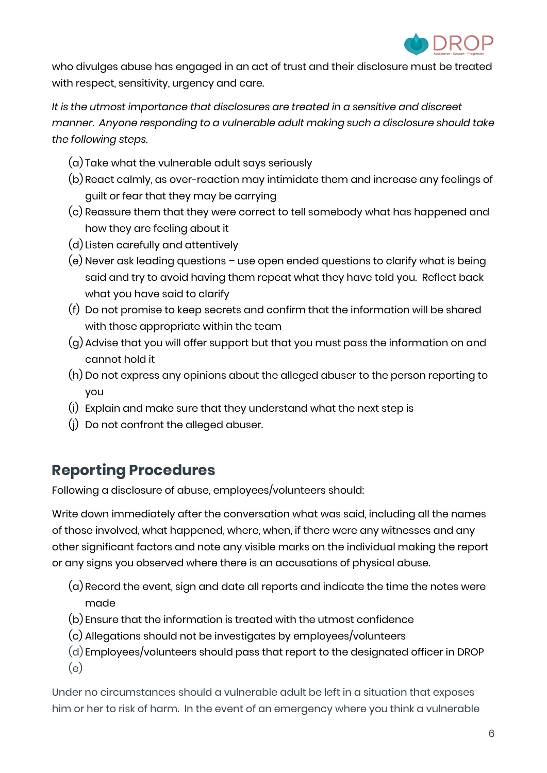

who divulges abuse has engaged in an act of trust and their disclosure must be treated with respect, sensitivity, urgency and care.

*It is the utmost importance that disclosures are treated in a sensitive and discreet manner. Anyone responding to a vulnerable adult making such a disclosure should take the following steps.*

- (a) Take what the vulnerable adult says seriously
- (b) React calmly, as over-reaction may intimidate them and increase any feelings of guilt or fear that they may be carrying
- (c) Reassure them that they were correct to tell somebody what has happened and how they are feeling about it
- (d) Listen carefully and attentively
- (e) Never ask leading questions use open ended questions to clarify what is being said and try to avoid having them repeat what they have told you. Reflect back what you have said to clarify
- (f) Do not promise to keep secrets and confirm that the information will be shared with those appropriate within the team
- (g) Advise that you will offer support but that you must pass the information on and cannot hold it
- (h) Do not express any opinions about the alleged abuser to the person reporting to you
- (i) Explain and make sure that they understand what the next step is
- (j) Do not confront the alleged abuser.

## <span id="page-6-0"></span>**Reporting Procedures**

Following a disclosure of abuse, employees/volunteers should:

Write down immediately after the conversation what was said, including all the names of those involved, what happened, where, when, if there were any witnesses and any other significant factors and note any visible marks on the individual making the report or any signs you observed where there is an accusations of physical abuse.

- (a) Record the event, sign and date all reports and indicate the time the notes were made
- (b) Ensure that the information is treated with the utmost confidence
- (c) Allegations should not be investigates by employees/volunteers
- (d) Employees/volunteers should pass that report to the designated officer in DROP (e)

Under no circumstances should a vulnerable adult be left in a situation that exposes him or her to risk of harm. In the event of an emergency where you think a vulnerable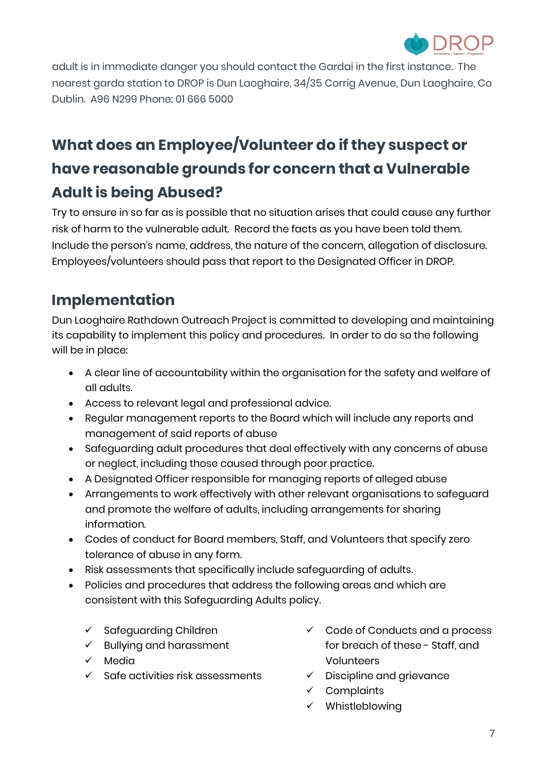

adult is in immediate danger you should contact the Gardai in the first instance. The nearest garda station to DROP is Dun Laoghaire, 34/35 Corrig Avenue, Dun Laoghaire, Co Dublin. A96 N299 Phone: 01 666 5000

# <span id="page-7-0"></span>**What does an Employee/Volunteer do if they suspect or have reasonable grounds for concern that a Vulnerable Adult is being Abused?**

Try to ensure in so far as is possible that no situation arises that could cause any further risk of harm to the vulnerable adult. Record the facts as you have been told them. Include the person's name, address, the nature of the concern, allegation of disclosure. Employees/volunteers should pass that report to the Designated Officer in DROP.

# <span id="page-7-1"></span>**Implementation**

Dun Laoghaire Rathdown Outreach Project is committed to developing and maintaining its capability to implement this policy and procedures. In order to do so the following will be in place:

- A clear line of accountability within the organisation for the safety and welfare of all adults.
- Access to relevant legal and professional advice.
- Regular management reports to the Board which will include any reports and management of said reports of abuse
- Safeguarding adult procedures that deal effectively with any concerns of abuse or neglect, including those caused through poor practice.
- A Designated Officer responsible for managing reports of alleged abuse
- Arrangements to work effectively with other relevant organisations to safeguard and promote the welfare of adults, including arrangements for sharing information.
- Codes of conduct for Board members, Staff, and Volunteers that specify zero tolerance of abuse in any form.
- Risk assessments that specifically include safeguarding of adults.
- Policies and procedures that address the following areas and which are consistent with this Safeguarding Adults policy.
	- $\checkmark$  Safeguarding Children
	- $\checkmark$  Bullying and harassment
	- Media
	- Safe activities risk assessments
- $\checkmark$  Code of Conducts and a process for breach of these - Staff, and Volunteers
- $\checkmark$  Discipline and grievance
- $\checkmark$  Complaints
- $\checkmark$  Whistleblowing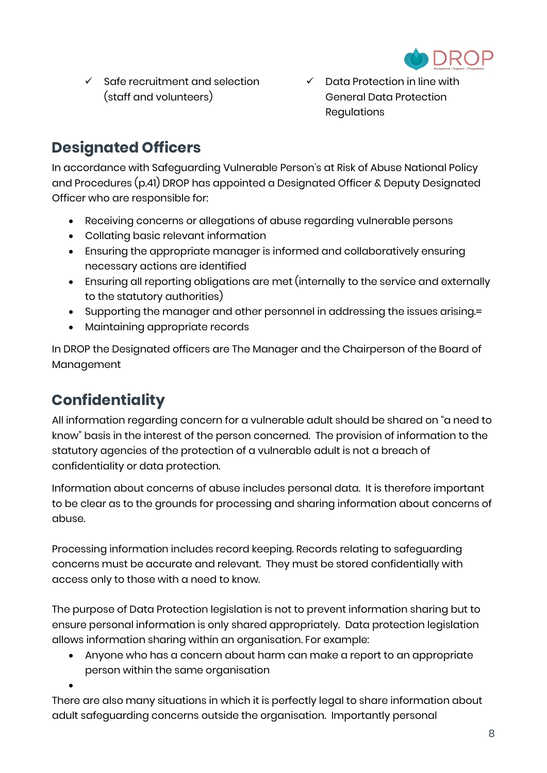

- $\checkmark$  Safe recruitment and selection (staff and volunteers)
- $\checkmark$  Data Protection in line with General Data Protection Regulations

# <span id="page-8-0"></span>**Designated Officers**

In accordance with Safeguarding Vulnerable Person's at Risk of Abuse National Policy and Procedures (p.41) DROP has appointed a Designated Officer & Deputy Designated Officer who are responsible for:

- Receiving concerns or allegations of abuse regarding vulnerable persons
- Collating basic relevant information
- Ensuring the appropriate manager is informed and collaboratively ensuring necessary actions are identified
- Ensuring all reporting obligations are met (internally to the service and externally to the statutory authorities)
- Supporting the manager and other personnel in addressing the issues arising.=
- Maintaining appropriate records

In DROP the Designated officers are The Manager and the Chairperson of the Board of Management

# <span id="page-8-1"></span>**Confidentiality**

 $\bullet$ 

All information regarding concern for a vulnerable adult should be shared on "a need to know" basis in the interest of the person concerned. The provision of information to the statutory agencies of the protection of a vulnerable adult is not a breach of confidentiality or data protection.

Information about concerns of abuse includes personal data. It is therefore important to be clear as to the grounds for processing and sharing information about concerns of abuse.

Processing information includes record keeping. Records relating to safeguarding concerns must be accurate and relevant. They must be stored confidentially with access only to those with a need to know.

The purpose of Data Protection legislation is not to prevent information sharing but to ensure personal information is only shared appropriately. Data protection legislation allows information sharing within an organisation. For example:

 Anyone who has a concern about harm can make a report to an appropriate person within the same organisation

There are also many situations in which it is perfectly legal to share information about adult safeguarding concerns outside the organisation. Importantly personal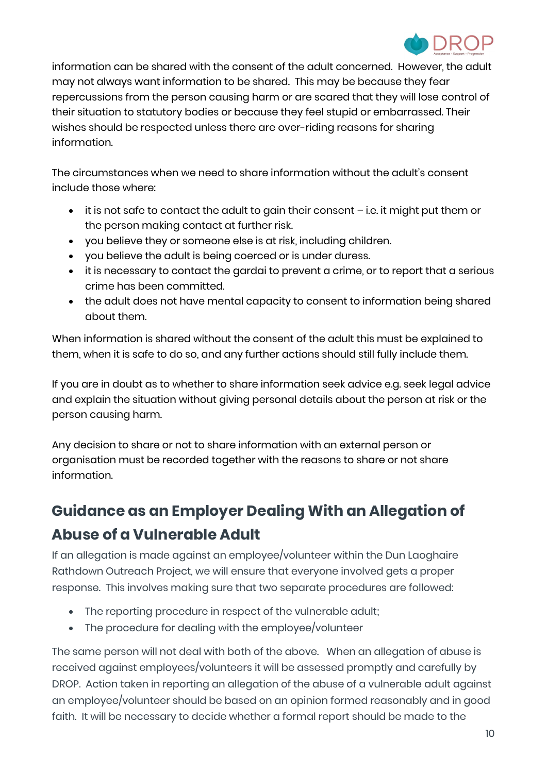

information can be shared with the consent of the adult concerned. However, the adult may not always want information to be shared. This may be because they fear repercussions from the person causing harm or are scared that they will lose control of their situation to statutory bodies or because they feel stupid or embarrassed. Their wishes should be respected unless there are over-riding reasons for sharing information.

The circumstances when we need to share information without the adult's consent include those where:

- it is not safe to contact the adult to gain their consent i.e. it might put them or the person making contact at further risk.
- you believe they or someone else is at risk, including children.
- you believe the adult is being coerced or is under duress.
- it is necessary to contact the gardai to prevent a crime, or to report that a serious crime has been committed.
- the adult does not have mental capacity to consent to information being shared about them.

When information is shared without the consent of the adult this must be explained to them, when it is safe to do so, and any further actions should still fully include them.

If you are in doubt as to whether to share information seek advice e.g. seek legal advice and explain the situation without giving personal details about the person at risk or the person causing harm.

Any decision to share or not to share information with an external person or organisation must be recorded together with the reasons to share or not share information.

# <span id="page-9-0"></span>**Guidance as an Employer Dealing With an Allegation of Abuse of a Vulnerable Adult**

If an allegation is made against an employee/volunteer within the Dun Laoghaire Rathdown Outreach Project, we will ensure that everyone involved gets a proper response. This involves making sure that two separate procedures are followed:

- The reporting procedure in respect of the vulnerable adult;
- The procedure for dealing with the employee/volunteer

The same person will not deal with both of the above. When an allegation of abuse is received against employees/volunteers it will be assessed promptly and carefully by DROP. Action taken in reporting an allegation of the abuse of a vulnerable adult against an employee/volunteer should be based on an opinion formed reasonably and in good faith. It will be necessary to decide whether a formal report should be made to the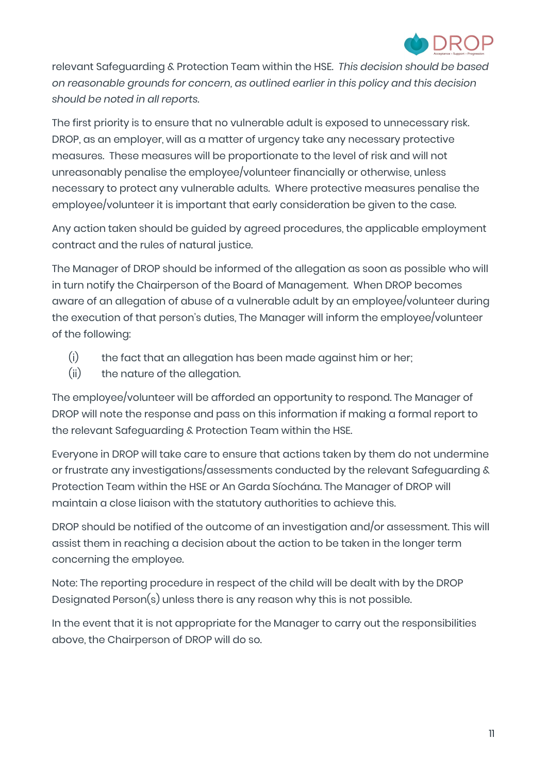

relevant Safeguarding & Protection Team within the HSE. *This decision should be based on reasonable grounds for concern, as outlined earlier in this policy and this decision should be noted in all reports.*

The first priority is to ensure that no vulnerable adult is exposed to unnecessary risk. DROP, as an employer, will as a matter of urgency take any necessary protective measures. These measures will be proportionate to the level of risk and will not unreasonably penalise the employee/volunteer financially or otherwise, unless necessary to protect any vulnerable adults. Where protective measures penalise the employee/volunteer it is important that early consideration be given to the case.

Any action taken should be guided by agreed procedures, the applicable employment contract and the rules of natural justice.

The Manager of DROP should be informed of the allegation as soon as possible who will in turn notify the Chairperson of the Board of Management. When DROP becomes aware of an allegation of abuse of a vulnerable adult by an employee/volunteer during the execution of that person's duties, The Manager will inform the employee/volunteer of the following:

- (i) the fact that an allegation has been made against him or her;
- (ii) the nature of the allegation.

The employee/volunteer will be afforded an opportunity to respond. The Manager of DROP will note the response and pass on this information if making a formal report to the relevant Safeguarding & Protection Team within the HSE.

Everyone in DROP will take care to ensure that actions taken by them do not undermine or frustrate any investigations/assessments conducted by the relevant Safeguarding & Protection Team within the HSE or An Garda Síochána. The Manager of DROP will maintain a close liaison with the statutory authorities to achieve this.

DROP should be notified of the outcome of an investigation and/or assessment. This will assist them in reaching a decision about the action to be taken in the longer term concerning the employee.

Note: The reporting procedure in respect of the child will be dealt with by the DROP Designated Person(s) unless there is any reason why this is not possible.

In the event that it is not appropriate for the Manager to carry out the responsibilities above, the Chairperson of DROP will do so.